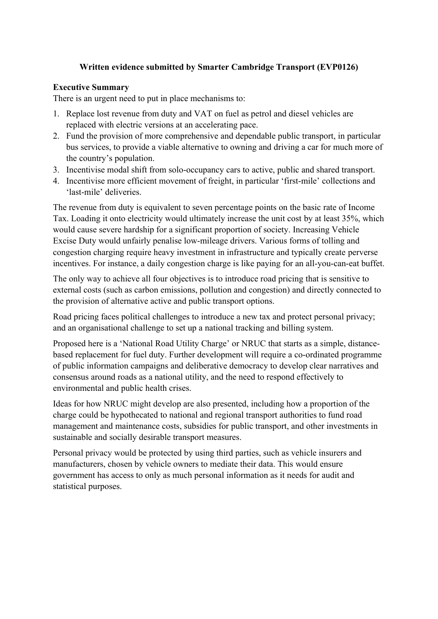#### **Written evidence submitted by Smarter Cambridge Transport (EVP0126)**

#### **Executive Summary**

There is an urgent need to put in place mechanisms to:

- 1. Replace lost revenue from duty and VAT on fuel as petrol and diesel vehicles are replaced with electric versions at an accelerating pace.
- 2. Fund the provision of more comprehensive and dependable public transport, in particular bus services, to provide a viable alternative to owning and driving a car for much more of the country's population.
- 3. Incentivise modal shift from solo-occupancy cars to active, public and shared transport.
- 4. Incentivise more efficient movement of freight, in particular 'first-mile' collections and 'last-mile' deliveries.

The revenue from duty is equivalent to seven percentage points on the basic rate of Income Tax. Loading it onto electricity would ultimately increase the unit cost by at least 35%, which would cause severe hardship for a significant proportion of society. Increasing Vehicle Excise Duty would unfairly penalise low-mileage drivers. Various forms of tolling and congestion charging require heavy investment in infrastructure and typically create perverse incentives. For instance, a daily congestion charge is like paying for an all-you-can-eat buffet.

The only way to achieve all four objectives is to introduce road pricing that is sensitive to external costs (such as carbon emissions, pollution and congestion) and directly connected to the provision of alternative active and public transport options.

Road pricing faces political challenges to introduce a new tax and protect personal privacy; and an organisational challenge to set up a national tracking and billing system.

Proposed here is a 'National Road Utility Charge' or NRUC that starts as a simple, distancebased replacement for fuel duty. Further development will require a co-ordinated programme of public information campaigns and deliberative democracy to develop clear narratives and consensus around roads as a national utility, and the need to respond effectively to environmental and public health crises.

Ideas for how NRUC might develop are also presented, including how a proportion of the charge could be hypothecated to national and regional transport authorities to fund road management and maintenance costs, subsidies for public transport, and other investments in sustainable and socially desirable transport measures.

Personal privacy would be protected by using third parties, such as vehicle insurers and manufacturers, chosen by vehicle owners to mediate their data. This would ensure government has access to only as much personal information as it needs for audit and statistical purposes.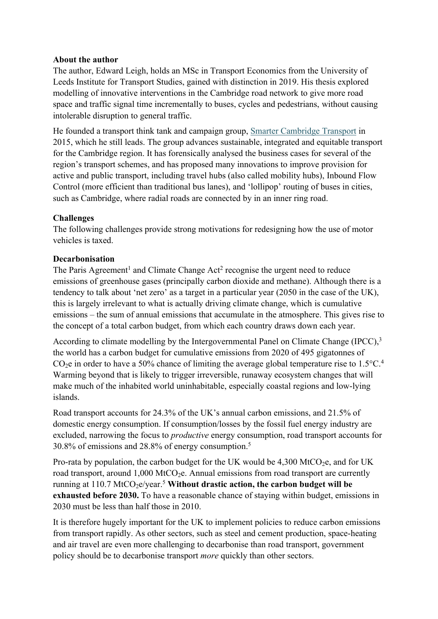#### **About the author**

The author, Edward Leigh, holds an MSc in Transport Economics from the University of Leeds Institute for Transport Studies, gained with distinction in 2019. His thesis explored modelling of innovative interventions in the Cambridge road network to give more road space and traffic signal time incrementally to buses, cycles and pedestrians, without causing intolerable disruption to general traffic.

He founded a transport think tank and campaign group, [Smarter](https://www.smartertransport.uk/) [Cambridge](https://www.smartertransport.uk/) [Transport](https://www.smartertransport.uk/) in 2015, which he still leads. The group advances sustainable, integrated and equitable transport for the Cambridge region. It has forensically analysed the business cases for several of the region's transport schemes, and has proposed many innovations to improve provision for active and public transport, including travel hubs (also called mobility hubs), Inbound Flow Control (more efficient than traditional bus lanes), and 'lollipop' routing of buses in cities, such as Cambridge, where radial roads are connected by in an inner ring road.

#### **Challenges**

The following challenges provide strong motivations for redesigning how the use of motor vehicles is taxed.

#### **Decarbonisation**

The Paris Agreement<sup>1</sup> and Climate Change Act<sup>2</sup> recognise the urgent need to reduce emissions of greenhouse gases (principally carbon dioxide and methane). Although there is a tendency to talk about 'net zero' as a target in a particular year (2050 in the case of the UK), this is largely irrelevant to what is actually driving climate change, which is cumulative emissions – the sum of annual emissions that accumulate in the atmosphere. This gives rise to the concept of a total carbon budget, from which each country draws down each year.

According to climate modelling by the Intergovernmental Panel on Climate Change (IPCC),<sup>3</sup> the world has a carbon budget for cumulative emissions from 2020 of 495 gigatonnes of  $CO<sub>2</sub>e$  in order to have a 50% chance of limiting the average global temperature rise to 1.5 $°C<sup>4</sup>$ . Warming beyond that is likely to trigger irreversible, runaway ecosystem changes that will make much of the inhabited world uninhabitable, especially coastal regions and low-lying islands.

Road transport accounts for 24.3% of the UK's annual carbon emissions, and 21.5% of domestic energy consumption. If consumption/losses by the fossil fuel energy industry are excluded, narrowing the focus to *productive* energy consumption, road transport accounts for 30.8% of emissions and 28.8% of energy consumption.<sup>5</sup>

<span id="page-1-0"></span>Pro-rata by population, the carbon budget for the UK would be  $4,300$  MtCO<sub>2</sub>e, and for UK road transport, around  $1,000$  MtCO<sub>2</sub>e. Annual emissions from road transport are currently running at 110.7 MtCO<sub>2</sub>e/year.<sup>[5](#page-1-0)</sup> Without drastic action, the carbon budget will be **exhausted before 2030.** To have a reasonable chance of staying within budget, emissions in 2030 must be less than half those in 2010.

It is therefore hugely important for the UK to implement policies to reduce carbon emissions from transport rapidly. As other sectors, such as steel and cement production, space-heating and air travel are even more challenging to decarbonise than road transport, government policy should be to decarbonise transport *more* quickly than other sectors.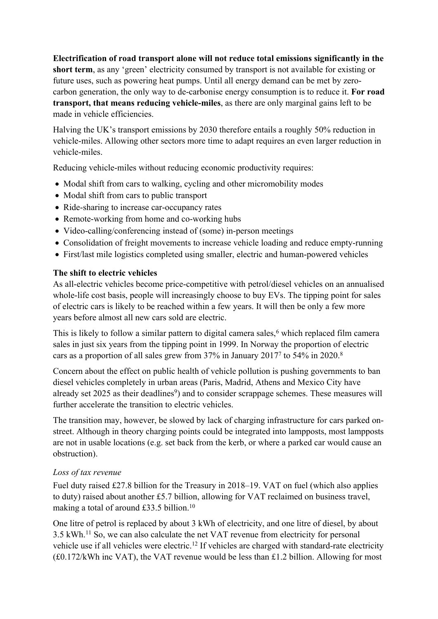**Electrification of road transport alone will not reduce total emissions significantly in the short term**, as any 'green' electricity consumed by transport is not available for existing or future uses, such as powering heat pumps. Until all energy demand can be met by zerocarbon generation, the only way to de-carbonise energy consumption is to reduce it. **For road transport, that means reducing vehicle-miles**, as there are only marginal gains left to be made in vehicle efficiencies.

Halving the UK's transport emissions by 2030 therefore entails a roughly 50% reduction in vehicle-miles. Allowing other sectors more time to adapt requires an even larger reduction in vehicle-miles.

Reducing vehicle-miles without reducing economic productivity requires:

- Modal shift from cars to walking, cycling and other micromobility modes
- Modal shift from cars to public transport
- Ride-sharing to increase car-occupancy rates
- Remote-working from home and co-working hubs
- Video-calling/conferencing instead of (some) in-person meetings
- Consolidation of freight movements to increase vehicle loading and reduce empty-running
- First/last mile logistics completed using smaller, electric and human-powered vehicles

## **The shift to electric vehicles**

As all-electric vehicles become price-competitive with petrol/diesel vehicles on an annualised whole-life cost basis, people will increasingly choose to buy EVs. The tipping point for sales of electric cars is likely to be reached within a few years. It will then be only a few more years before almost all new cars sold are electric.

This is likely to follow a similar pattern to digital camera sales, $6$  which replaced film camera sales in just six years from the tipping point in 1999. In Norway the proportion of electric cars as a proportion of all sales grew from 37% in January 2017<sup>7</sup> to 54% in 2020.<sup>8</sup>

Concern about the effect on public health of vehicle pollution is pushing governments to ban diesel vehicles completely in urban areas (Paris, Madrid, Athens and Mexico City have already set 2025 as their deadlines<sup>9</sup>) and to consider scrappage schemes. These measures will further accelerate the transition to electric vehicles.

The transition may, however, be slowed by lack of charging infrastructure for cars parked onstreet. Although in theory charging points could be integrated into lampposts, most lampposts are not in usable locations (e.g. set back from the kerb, or where a parked car would cause an obstruction).

## *Loss of tax revenue*

Fuel duty raised £27.8 billion for the Treasury in 2018–19. VAT on fuel (which also applies to duty) raised about another £5.7 billion, allowing for VAT reclaimed on business travel, making a total of around £33.5 billion.<sup>10</sup>

One litre of petrol is replaced by about 3 kWh of electricity, and one litre of diesel, by about 3.5 kWh.<sup>11</sup> So, we can also calculate the net VAT revenue from electricity for personal vehicle use if all vehicles were electric.<sup>12</sup> If vehicles are charged with standard-rate electricity (£0.172/kWh inc VAT), the VAT revenue would be less than £1.2 billion. Allowing for most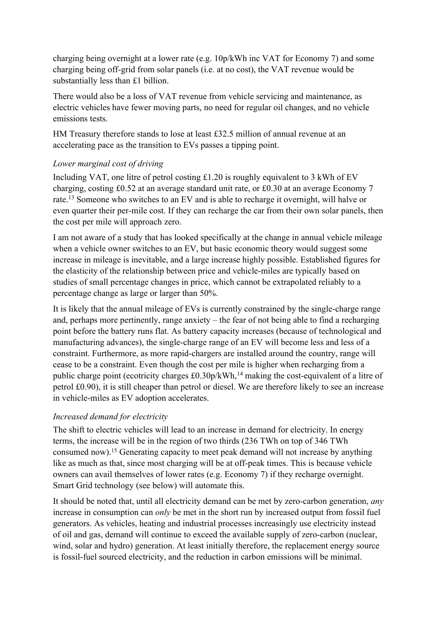charging being overnight at a lower rate (e.g. 10p/kWh inc VAT for Economy 7) and some charging being off-grid from solar panels (i.e. at no cost), the VAT revenue would be substantially less than £1 billion.

There would also be a loss of VAT revenue from vehicle servicing and maintenance, as electric vehicles have fewer moving parts, no need for regular oil changes, and no vehicle emissions tests.

HM Treasury therefore stands to lose at least £32.5 million of annual revenue at an accelerating pace as the transition to EVs passes a tipping point.

#### *Lower marginal cost of driving*

Including VAT, one litre of petrol costing £1.20 is roughly equivalent to 3 kWh of EV charging, costing £0.52 at an average standard unit rate, or £0.30 at an average Economy 7 rate.<sup>13</sup> Someone who switches to an EV and is able to recharge it overnight, will halve or even quarter their per-mile cost. If they can recharge the car from their own solar panels, then the cost per mile will approach zero.

I am not aware of a study that has looked specifically at the change in annual vehicle mileage when a vehicle owner switches to an EV, but basic economic theory would suggest some increase in mileage is inevitable, and a large increase highly possible. Established figures for the elasticity of the relationship between price and vehicle-miles are typically based on studies of small percentage changes in price, which cannot be extrapolated reliably to a percentage change as large or larger than 50%.

It is likely that the annual mileage of EVs is currently constrained by the single-charge range and, perhaps more pertinently, range anxiety – the fear of not being able to find a recharging point before the battery runs flat. As battery capacity increases (because of technological and manufacturing advances), the single-charge range of an EV will become less and less of a constraint. Furthermore, as more rapid-chargers are installed around the country, range will cease to be a constraint. Even though the cost per mile is higher when recharging from a public charge point (ecotricity charges £0.30p/kWh,<sup>14</sup> making the cost-equivalent of a litre of petrol £0.90), it is still cheaper than petrol or diesel. We are therefore likely to see an increase in vehicle-miles as EV adoption accelerates.

#### *Increased demand for electricity*

The shift to electric vehicles will lead to an increase in demand for electricity. In energy terms, the increase will be in the region of two thirds (236 TWh on top of 346 TWh consumed now).<sup>15</sup> Generating capacity to meet peak demand will not increase by anything like as much as that, since most charging will be at off-peak times. This is because vehicle owners can avail themselves of lower rates (e.g. Economy 7) if they recharge overnight. Smart Grid technology (see below) will automate this.

It should be noted that, until all electricity demand can be met by zero-carbon generation, *any* increase in consumption can *only* be met in the short run by increased output from fossil fuel generators. As vehicles, heating and industrial processes increasingly use electricity instead of oil and gas, demand will continue to exceed the available supply of zero-carbon (nuclear, wind, solar and hydro) generation. At least initially therefore, the replacement energy source is fossil-fuel sourced electricity, and the reduction in carbon emissions will be minimal.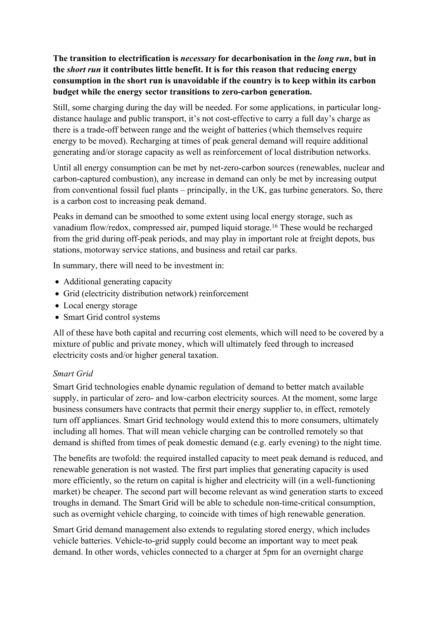**The transition to electrification is** *necessary* **for decarbonisation in the** *long run***, but in the** *short run* **it contributes little benefit. It is for this reason that reducing energy consumption in the short run is unavoidable if the country is to keep within its carbon budget while the energy sector transitions to zero-carbon generation.**

Still, some charging during the day will be needed. For some applications, in particular longdistance haulage and public transport, it's not cost-effective to carry a full day's charge as there is a trade-off between range and the weight of batteries (which themselves require energy to be moved). Recharging at times of peak general demand will require additional generating and/or storage capacity as well as reinforcement of local distribution networks.

Until all energy consumption can be met by net-zero-carbon sources (renewables, nuclear and carbon-captured combustion), any increase in demand can only be met by increasing output from conventional fossil fuel plants – principally, in the UK, gas turbine generators. So, there is a carbon cost to increasing peak demand.

Peaks in demand can be smoothed to some extent using local energy storage, such as vanadium flow/redox, compressed air, pumped liquid storage.<sup>16</sup> These would be recharged from the grid during off-peak periods, and may play in important role at freight depots, bus stations, motorway service stations, and business and retail car parks.

In summary, there will need to be investment in:

- Additional generating capacity
- Grid (electricity distribution network) reinforcement
- Local energy storage
- Smart Grid control systems

All of these have both capital and recurring cost elements, which will need to be covered by a mixture of public and private money, which will ultimately feed through to increased electricity costs and/or higher general taxation.

#### *Smart Grid*

Smart Grid technologies enable dynamic regulation of demand to better match available supply, in particular of zero- and low-carbon electricity sources. At the moment, some large business consumers have contracts that permit their energy supplier to, in effect, remotely turn off appliances. Smart Grid technology would extend this to more consumers, ultimately including all homes. That will mean vehicle charging can be controlled remotely so that demand is shifted from times of peak domestic demand (e.g. early evening) to the night time.

The benefits are twofold: the required installed capacity to meet peak demand is reduced, and renewable generation is not wasted. The first part implies that generating capacity is used more efficiently, so the return on capital is higher and electricity will (in a well-functioning market) be cheaper. The second part will become relevant as wind generation starts to exceed troughs in demand. The Smart Grid will be able to schedule non-time-critical consumption, such as overnight vehicle charging, to coincide with times of high renewable generation.

Smart Grid demand management also extends to regulating stored energy, which includes vehicle batteries. Vehicle-to-grid supply could become an important way to meet peak demand. In other words, vehicles connected to a charger at 5pm for an overnight charge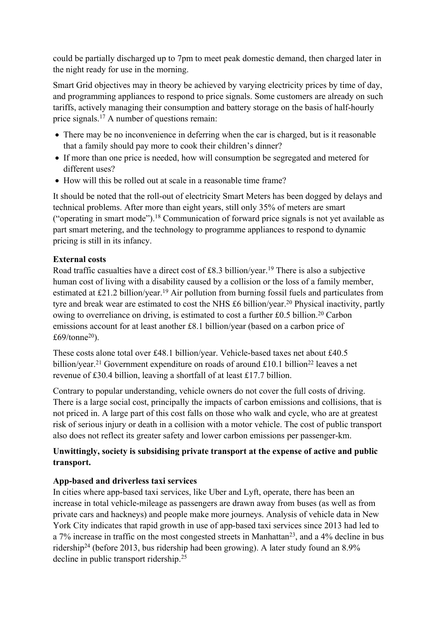could be partially discharged up to 7pm to meet peak domestic demand, then charged later in the night ready for use in the morning.

Smart Grid objectives may in theory be achieved by varying electricity prices by time of day, and programming appliances to respond to price signals. Some customers are already on such tariffs, actively managing their consumption and battery storage on the basis of half-hourly price signals.<sup>17</sup> A number of questions remain:

- There may be no inconvenience in deferring when the car is charged, but is it reasonable that a family should pay more to cook their children's dinner?
- If more than one price is needed, how will consumption be segregated and metered for different uses?
- How will this be rolled out at scale in a reasonable time frame?

It should be noted that the roll-out of electricity Smart Meters has been dogged by delays and technical problems. After more than eight years, still only 35% of meters are smart ("operating in smart mode").<sup>18</sup> Communication of forward price signals is not yet available as part smart metering, and the technology to programme appliances to respond to dynamic pricing is still in its infancy.

#### **External costs**

<span id="page-5-1"></span><span id="page-5-0"></span>Road traffic casualties have a direct cost of £8.3 billion/year.<sup>19</sup> There is also a subjective human cost of living with a disability caused by a collision or the loss of a family member, estimated at £21.2 billion/year.[19](#page-5-0) Air pollution from burning fossil fuels and particulates from tyre and break wear are estimated to cost the NHS £6 billion/year.<sup>20</sup> Physical inactivity, partly owing to overreliance on driving, is estimated to cost a further £0.5 billion.<sup>[20](#page-5-1)</sup> Carbon emissions account for at least another £8.1 billion/year (based on a carbon price of £69/tonne<sup>[20](#page-5-1)</sup>).

These costs alone total over £48.1 billion/year. Vehicle-based taxes net about £40.5 billion/year.<sup>21</sup> Government expenditure on roads of around £10.1 billion<sup>22</sup> leaves a net revenue of £30.4 billion, leaving a shortfall of at least £17.7 billion.

Contrary to popular understanding, vehicle owners do not cover the full costs of driving. There is a large social cost, principally the impacts of carbon emissions and collisions, that is not priced in. A large part of this cost falls on those who walk and cycle, who are at greatest risk of serious injury or death in a collision with a motor vehicle. The cost of public transport also does not reflect its greater safety and lower carbon emissions per passenger-km.

## **Unwittingly, society is subsidising private transport at the expense of active and public transport.**

## **App-based and driverless taxi services**

In cities where app-based taxi services, like Uber and Lyft, operate, there has been an increase in total vehicle-mileage as passengers are drawn away from buses (as well as from private cars and hackneys) and people make more journeys. Analysis of vehicle data in New York City indicates that rapid growth in use of app-based taxi services since 2013 had led to a 7% increase in traffic on the most congested streets in Manhattan<sup>23</sup>, and a 4% decline in bus ridership<sup>24</sup> (before 2013, bus ridership had been growing). A later study found an 8.9% decline in public transport ridership.<sup>25</sup>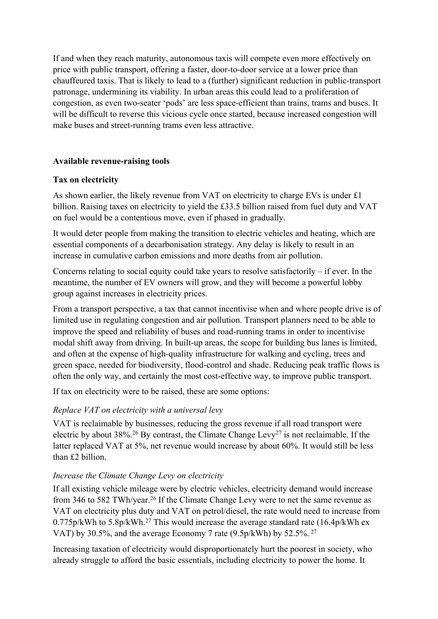If and when they reach maturity, autonomous taxis will compete even more effectively on price with public transport, offering a faster, door-to-door service at a lower price than chauffeured taxis. That is likely to lead to a (further) significant reduction in public-transport patronage, undermining its viability. In urban areas this could lead to a proliferation of congestion, as even two-seater 'pods' are less space-efficient than trains, trams and buses. It will be difficult to reverse this vicious cycle once started, because increased congestion will make buses and street-running trams even less attractive.

#### **Available revenue-raising tools**

#### **Tax on electricity**

As shown earlier, the likely revenue from VAT on electricity to charge EVs is under £1 billion. Raising taxes on electricity to yield the £33.5 billion raised from fuel duty and VAT on fuel would be a contentious move, even if phased in gradually.

It would deter people from making the transition to electric vehicles and heating, which are essential components of a decarbonisation strategy. Any delay is likely to result in an increase in cumulative carbon emissions and more deaths from air pollution.

Concerns relating to social equity could take years to resolve satisfactorily – if ever. In the meantime, the number of EV owners will grow, and they will become a powerful lobby group against increases in electricity prices.

From a transport perspective, a tax that cannot incentivise when and where people drive is of limited use in regulating congestion and air pollution. Transport planners need to be able to improve the speed and reliability of buses and road-running trams in order to incentivise modal shift away from driving. In built-up areas, the scope for building bus lanes is limited, and often at the expense of high-quality infrastructure for walking and cycling, trees and green space, needed for biodiversity, flood-control and shade. Reducing peak traffic flows is often the only way, and certainly the most cost-effective way, to improve public transport.

If tax on electricity were to be raised, these are some options:

## *Replace VAT on electricity with a universal levy*

<span id="page-6-1"></span><span id="page-6-0"></span>VAT is reclaimable by businesses, reducing the gross revenue if all road transport were electric by about 38%.<sup>26</sup> By contrast, the Climate Change Levy<sup>27</sup> is not reclaimable. If the latter replaced VAT at 5%, net revenue would increase by about 60%. It would still be less than £2 billion.

## *Increase the Climate Change Levy on electricity*

If all existing vehicle mileage were by electric vehicles, electricity demand would increase from 346 to 582 TWh/year.[26](#page-6-0) If the Climate Change Levy were to net the same revenue as VAT on electricity plus duty and VAT on petrol/diesel, the rate would need to increase from 0.775p/kWh to 5.8p/kWh.[27](#page-6-1) This would increase the average standard rate (16.4p/kWh ex VAT) by 30.5%, and the average Economy 7 rate (9.5p/kWh) by 52.5%. [27](#page-6-1)

Increasing taxation of electricity would disproportionately hurt the poorest in society, who already struggle to afford the basic essentials, including electricity to power the home. It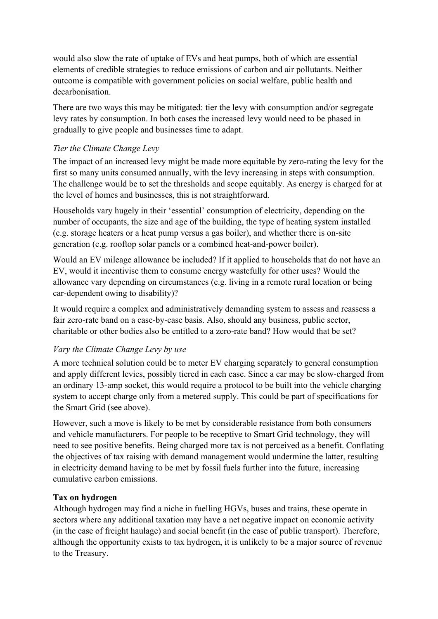would also slow the rate of uptake of EVs and heat pumps, both of which are essential elements of credible strategies to reduce emissions of carbon and air pollutants. Neither outcome is compatible with government policies on social welfare, public health and decarbonisation.

There are two ways this may be mitigated: tier the levy with consumption and/or segregate levy rates by consumption. In both cases the increased levy would need to be phased in gradually to give people and businesses time to adapt.

#### *Tier the Climate Change Levy*

The impact of an increased levy might be made more equitable by zero-rating the levy for the first so many units consumed annually, with the levy increasing in steps with consumption. The challenge would be to set the thresholds and scope equitably. As energy is charged for at the level of homes and businesses, this is not straightforward.

Households vary hugely in their 'essential' consumption of electricity, depending on the number of occupants, the size and age of the building, the type of heating system installed (e.g. storage heaters or a heat pump versus a gas boiler), and whether there is on-site generation (e.g. rooftop solar panels or a combined heat-and-power boiler).

Would an EV mileage allowance be included? If it applied to households that do not have an EV, would it incentivise them to consume energy wastefully for other uses? Would the allowance vary depending on circumstances (e.g. living in a remote rural location or being car-dependent owing to disability)?

It would require a complex and administratively demanding system to assess and reassess a fair zero-rate band on a case-by-case basis. Also, should any business, public sector, charitable or other bodies also be entitled to a zero-rate band? How would that be set?

#### *Vary the Climate Change Levy by use*

A more technical solution could be to meter EV charging separately to general consumption and apply different levies, possibly tiered in each case. Since a car may be slow-charged from an ordinary 13-amp socket, this would require a protocol to be built into the vehicle charging system to accept charge only from a metered supply. This could be part of specifications for the Smart Grid (see above).

However, such a move is likely to be met by considerable resistance from both consumers and vehicle manufacturers. For people to be receptive to Smart Grid technology, they will need to see positive benefits. Being charged more tax is not perceived as a benefit. Conflating the objectives of tax raising with demand management would undermine the latter, resulting in electricity demand having to be met by fossil fuels further into the future, increasing cumulative carbon emissions.

#### **Tax on hydrogen**

Although hydrogen may find a niche in fuelling HGVs, buses and trains, these operate in sectors where any additional taxation may have a net negative impact on economic activity (in the case of freight haulage) and social benefit (in the case of public transport). Therefore, although the opportunity exists to tax hydrogen, it is unlikely to be a major source of revenue to the Treasury.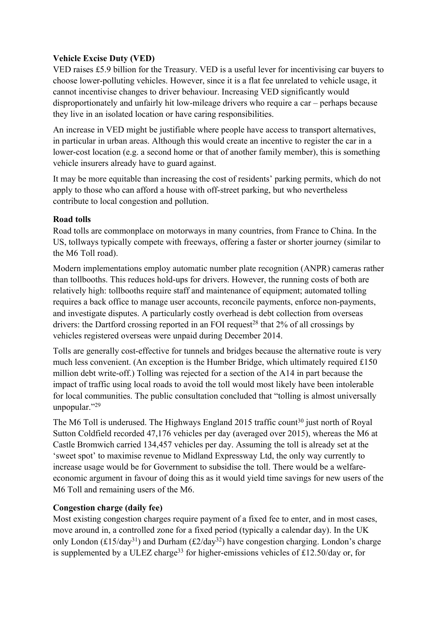#### **Vehicle Excise Duty (VED)**

VED raises £5.9 billion for the Treasury. VED is a useful lever for incentivising car buyers to choose lower-polluting vehicles. However, since it is a flat fee unrelated to vehicle usage, it cannot incentivise changes to driver behaviour. Increasing VED significantly would disproportionately and unfairly hit low-mileage drivers who require a car – perhaps because they live in an isolated location or have caring responsibilities.

An increase in VED might be justifiable where people have access to transport alternatives, in particular in urban areas. Although this would create an incentive to register the car in a lower-cost location (e.g. a second home or that of another family member), this is something vehicle insurers already have to guard against.

It may be more equitable than increasing the cost of residents' parking permits, which do not apply to those who can afford a house with off-street parking, but who nevertheless contribute to local congestion and pollution.

#### **Road tolls**

Road tolls are commonplace on motorways in many countries, from France to China. In the US, tollways typically compete with freeways, offering a faster or shorter journey (similar to the M6 Toll road).

Modern implementations employ automatic number plate recognition (ANPR) cameras rather than tollbooths. This reduces hold-ups for drivers. However, the running costs of both are relatively high: tollbooths require staff and maintenance of equipment; automated tolling requires a back office to manage user accounts, reconcile payments, enforce non-payments, and investigate disputes. A particularly costly overhead is debt collection from overseas drivers: the Dartford crossing reported in an FOI request<sup>28</sup> that  $2\%$  of all crossings by vehicles registered overseas were unpaid during December 2014.

Tolls are generally cost-effective for tunnels and bridges because the alternative route is very much less convenient. (An exception is the Humber Bridge, which ultimately required £150 million debt write-off.) Tolling was rejected for a section of the A14 in part because the impact of traffic using local roads to avoid the toll would most likely have been intolerable for local communities. The public consultation concluded that "tolling is almost universally unpopular."<sup>29</sup>

The M6 Toll is underused. The Highways England 2015 traffic count<sup>30</sup> just north of Royal Sutton Coldfield recorded 47,176 vehicles per day (averaged over 2015), whereas the M6 at Castle Bromwich carried 134,457 vehicles per day. Assuming the toll is already set at the 'sweet spot' to maximise revenue to Midland Expressway Ltd, the only way currently to increase usage would be for Government to subsidise the toll. There would be a welfareeconomic argument in favour of doing this as it would yield time savings for new users of the M6 Toll and remaining users of the M6.

## **Congestion charge (daily fee)**

Most existing congestion charges require payment of a fixed fee to enter, and in most cases, move around in, a controlled zone for a fixed period (typically a calendar day). In the UK only London ( $\text{\textsterling}15/\text{day}^{31}$ ) and Durham ( $\text{\textsterling}2/\text{day}^{32}$ ) have congestion charging. London's charge is supplemented by a ULEZ charge<sup>33</sup> for higher-emissions vehicles of £12.50/day or, for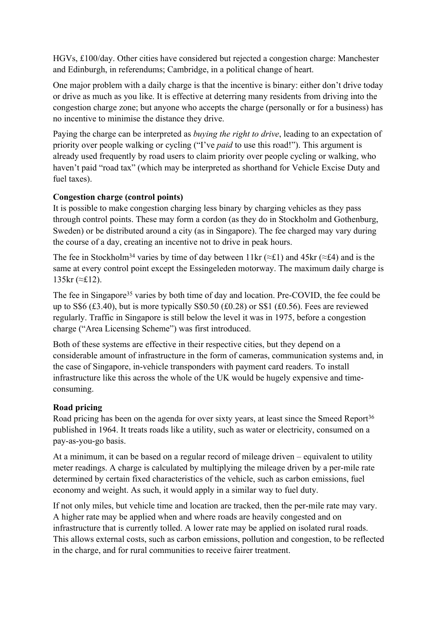HGVs, £100/day. Other cities have considered but rejected a congestion charge: Manchester and Edinburgh, in referendums; Cambridge, in a political change of heart.

One major problem with a daily charge is that the incentive is binary: either don't drive today or drive as much as you like. It is effective at deterring many residents from driving into the congestion charge zone; but anyone who accepts the charge (personally or for a business) has no incentive to minimise the distance they drive.

Paying the charge can be interpreted as *buying the right to drive*, leading to an expectation of priority over people walking or cycling ("I've *paid* to use this road!"). This argument is already used frequently by road users to claim priority over people cycling or walking, who haven't paid "road tax" (which may be interpreted as shorthand for Vehicle Excise Duty and fuel taxes).

#### **Congestion charge (control points)**

It is possible to make congestion charging less binary by charging vehicles as they pass through control points. These may form a cordon (as they do in Stockholm and Gothenburg, Sweden) or be distributed around a city (as in Singapore). The fee charged may vary during the course of a day, creating an incentive not to drive in peak hours.

The fee in Stockholm<sup>34</sup> varies by time of day between 11kr ( $\approx$ £1) and 45kr ( $\approx$ £4) and is the same at every control point except the Essingeleden motorway. The maximum daily charge is 135kr (≈£12).

The fee in Singapore<sup>35</sup> varies by both time of day and location. Pre-COVID, the fee could be up to S\$6 (£3.40), but is more typically S\$0.50 (£0.28) or S\$1 (£0.56). Fees are reviewed regularly. Traffic in Singapore is still below the level it was in 1975, before a congestion charge ("Area Licensing Scheme") was first introduced.

Both of these systems are effective in their respective cities, but they depend on a considerable amount of infrastructure in the form of cameras, communication systems and, in the case of Singapore, in-vehicle transponders with payment card readers. To install infrastructure like this across the whole of the UK would be hugely expensive and timeconsuming.

## **Road pricing**

Road pricing has been on the agenda for over sixty years, at least since the Smeed Report<sup>36</sup> published in 1964. It treats roads like a utility, such as water or electricity, consumed on a pay-as-you-go basis.

At a minimum, it can be based on a regular record of mileage driven – equivalent to utility meter readings. A charge is calculated by multiplying the mileage driven by a per-mile rate determined by certain fixed characteristics of the vehicle, such as carbon emissions, fuel economy and weight. As such, it would apply in a similar way to fuel duty.

If not only miles, but vehicle time and location are tracked, then the per-mile rate may vary. A higher rate may be applied when and where roads are heavily congested and on infrastructure that is currently tolled. A lower rate may be applied on isolated rural roads. This allows external costs, such as carbon emissions, pollution and congestion, to be reflected in the charge, and for rural communities to receive fairer treatment.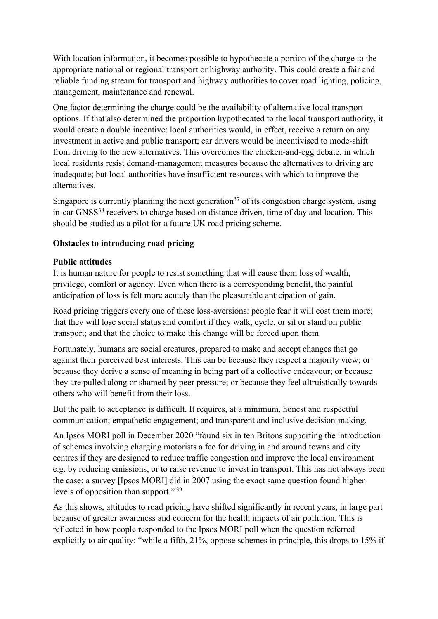With location information, it becomes possible to hypothecate a portion of the charge to the appropriate national or regional transport or highway authority. This could create a fair and reliable funding stream for transport and highway authorities to cover road lighting, policing, management, maintenance and renewal.

One factor determining the charge could be the availability of alternative local transport options. If that also determined the proportion hypothecated to the local transport authority, it would create a double incentive: local authorities would, in effect, receive a return on any investment in active and public transport; car drivers would be incentivised to mode-shift from driving to the new alternatives. This overcomes the chicken-and-egg debate, in which local residents resist demand-management measures because the alternatives to driving are inadequate; but local authorities have insufficient resources with which to improve the alternatives.

Singapore is currently planning the next generation<sup>37</sup> of its congestion charge system, using in-car GNSS<sup>38</sup> receivers to charge based on distance driven, time of day and location. This should be studied as a pilot for a future UK road pricing scheme.

#### **Obstacles to introducing road pricing**

#### **Public attitudes**

It is human nature for people to resist something that will cause them loss of wealth, privilege, comfort or agency. Even when there is a corresponding benefit, the painful anticipation of loss is felt more acutely than the pleasurable anticipation of gain.

Road pricing triggers every one of these loss-aversions: people fear it will cost them more; that they will lose social status and comfort if they walk, cycle, or sit or stand on public transport; and that the choice to make this change will be forced upon them.

Fortunately, humans are social creatures, prepared to make and accept changes that go against their perceived best interests. This can be because they respect a majority view; or because they derive a sense of meaning in being part of a collective endeavour; or because they are pulled along or shamed by peer pressure; or because they feel altruistically towards others who will benefit from their loss.

But the path to acceptance is difficult. It requires, at a minimum, honest and respectful communication; empathetic engagement; and transparent and inclusive decision-making.

An Ipsos MORI poll in December 2020 "found six in ten Britons supporting the introduction of schemes involving charging motorists a fee for driving in and around towns and city centres if they are designed to reduce traffic congestion and improve the local environment e.g. by reducing emissions, or to raise revenue to invest in transport. This has not always been the case; a survey [Ipsos MORI] did in 2007 using the exact same question found higher levels of opposition than support." <sup>39</sup>

<span id="page-10-0"></span>As this shows, attitudes to road pricing have shifted significantly in recent years, in large part because of greater awareness and concern for the health impacts of air pollution. This is reflected in how people responded to the Ipsos MORI poll when the question referred explicitly to air quality: "while a fifth, 21%, oppose schemes in principle, this drops to 15% if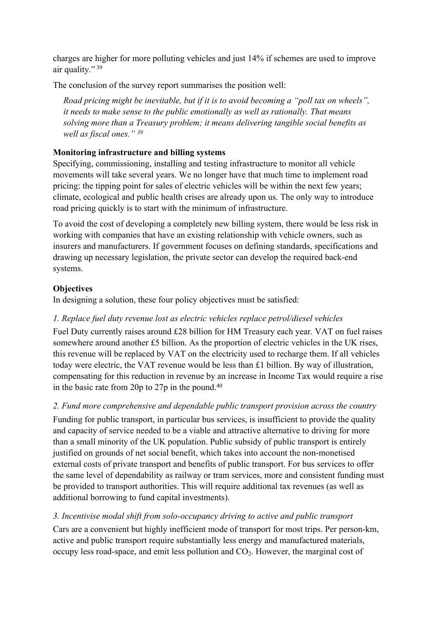charges are higher for more polluting vehicles and just 14% if schemes are used to improve air quality." [39](#page-10-0)

The conclusion of the survey report summarises the position well:

*Road pricing might be inevitable, but if it is to avoid becoming a "poll tax on wheels", it needs to make sense to the public emotionally as well as rationally. That means solving more than a Treasury problem; it means delivering tangible social benefits as well as fiscal ones." [39](#page-10-0)*

## **Monitoring infrastructure and billing systems**

Specifying, commissioning, installing and testing infrastructure to monitor all vehicle movements will take several years. We no longer have that much time to implement road pricing: the tipping point for sales of electric vehicles will be within the next few years; climate, ecological and public health crises are already upon us. The only way to introduce road pricing quickly is to start with the minimum of infrastructure.

To avoid the cost of developing a completely new billing system, there would be less risk in working with companies that have an existing relationship with vehicle owners, such as insurers and manufacturers. If government focuses on defining standards, specifications and drawing up necessary legislation, the private sector can develop the required back-end systems.

#### **Objectives**

In designing a solution, these four policy objectives must be satisfied:

## *1. Replace fuel duty revenue lost as electric vehicles replace petrol/diesel vehicles*

Fuel Duty currently raises around £28 billion for HM Treasury each year. VAT on fuel raises somewhere around another £5 billion. As the proportion of electric vehicles in the UK rises, this revenue will be replaced by VAT on the electricity used to recharge them. If all vehicles today were electric, the VAT revenue would be less than £1 billion. By way of illustration, compensating for this reduction in revenue by an increase in Income Tax would require a rise in the basic rate from 20p to 27p in the pound.<sup>40</sup>

*2. Fund more comprehensive and dependable public transport provision across the country* Funding for public transport, in particular bus services, is insufficient to provide the quality and capacity of service needed to be a viable and attractive alternative to driving for more than a small minority of the UK population. Public subsidy of public transport is entirely justified on grounds of net social benefit, which takes into account the non-monetised external costs of private transport and benefits of public transport. For bus services to offer the same level of dependability as railway or tram services, more and consistent funding must be provided to transport authorities. This will require additional tax revenues (as well as additional borrowing to fund capital investments).

## *3. Incentivise modal shift from solo-occupancy driving to active and public transport*

Cars are a convenient but highly inefficient mode of transport for most trips. Per person-km, active and public transport require substantially less energy and manufactured materials, occupy less road-space, and emit less pollution and  $CO<sub>2</sub>$ . However, the marginal cost of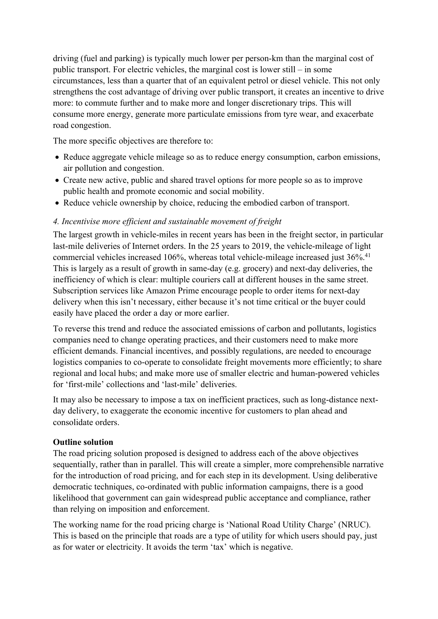driving (fuel and parking) is typically much lower per person-km than the marginal cost of public transport. For electric vehicles, the marginal cost is lower still – in some circumstances, less than a quarter that of an equivalent petrol or diesel vehicle. This not only strengthens the cost advantage of driving over public transport, it creates an incentive to drive more: to commute further and to make more and longer discretionary trips. This will consume more energy, generate more particulate emissions from tyre wear, and exacerbate road congestion.

The more specific objectives are therefore to:

- Reduce aggregate vehicle mileage so as to reduce energy consumption, carbon emissions, air pollution and congestion.
- Create new active, public and shared travel options for more people so as to improve public health and promote economic and social mobility.
- Reduce vehicle ownership by choice, reducing the embodied carbon of transport.

#### *4. Incentivise more efficient and sustainable movement of freight*

The largest growth in vehicle-miles in recent years has been in the freight sector, in particular last-mile deliveries of Internet orders. In the 25 years to 2019, the vehicle-mileage of light commercial vehicles increased 106%, whereas total vehicle-mileage increased just 36%.<sup>41</sup> This is largely as a result of growth in same-day (e.g. grocery) and next-day deliveries, the inefficiency of which is clear: multiple couriers call at different houses in the same street. Subscription services like Amazon Prime encourage people to order items for next-day delivery when this isn't necessary, either because it's not time critical or the buyer could easily have placed the order a day or more earlier.

To reverse this trend and reduce the associated emissions of carbon and pollutants, logistics companies need to change operating practices, and their customers need to make more efficient demands. Financial incentives, and possibly regulations, are needed to encourage logistics companies to co-operate to consolidate freight movements more efficiently; to share regional and local hubs; and make more use of smaller electric and human-powered vehicles for 'first-mile' collections and 'last-mile' deliveries.

It may also be necessary to impose a tax on inefficient practices, such as long-distance nextday delivery, to exaggerate the economic incentive for customers to plan ahead and consolidate orders.

#### **Outline solution**

The road pricing solution proposed is designed to address each of the above objectives sequentially, rather than in parallel. This will create a simpler, more comprehensible narrative for the introduction of road pricing, and for each step in its development. Using deliberative democratic techniques, co-ordinated with public information campaigns, there is a good likelihood that government can gain widespread public acceptance and compliance, rather than relying on imposition and enforcement.

The working name for the road pricing charge is 'National Road Utility Charge' (NRUC). This is based on the principle that roads are a type of utility for which users should pay, just as for water or electricity. It avoids the term 'tax' which is negative.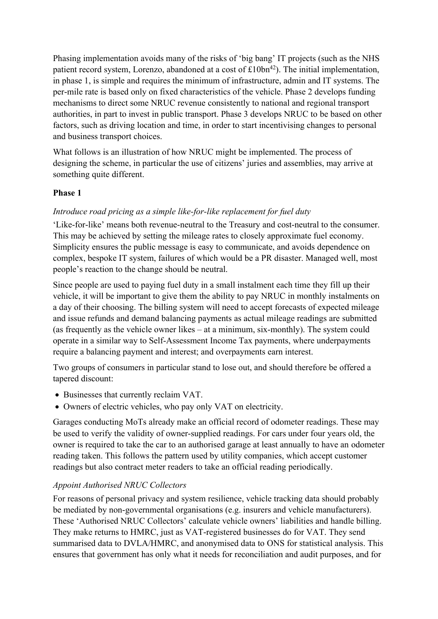Phasing implementation avoids many of the risks of 'big bang' IT projects (such as the NHS patient record system, Lorenzo, abandoned at a cost of  $£10bn^{42}$ . The initial implementation, in phase 1, is simple and requires the minimum of infrastructure, admin and IT systems. The per-mile rate is based only on fixed characteristics of the vehicle. Phase 2 develops funding mechanisms to direct some NRUC revenue consistently to national and regional transport authorities, in part to invest in public transport. Phase 3 develops NRUC to be based on other factors, such as driving location and time, in order to start incentivising changes to personal and business transport choices.

What follows is an illustration of how NRUC might be implemented. The process of designing the scheme, in particular the use of citizens' juries and assemblies, may arrive at something quite different.

#### **Phase 1**

#### *Introduce road pricing as a simple like-for-like replacement for fuel duty*

'Like-for-like' means both revenue-neutral to the Treasury and cost-neutral to the consumer. This may be achieved by setting the mileage rates to closely approximate fuel economy. Simplicity ensures the public message is easy to communicate, and avoids dependence on complex, bespoke IT system, failures of which would be a PR disaster. Managed well, most people's reaction to the change should be neutral.

Since people are used to paying fuel duty in a small instalment each time they fill up their vehicle, it will be important to give them the ability to pay NRUC in monthly instalments on a day of their choosing. The billing system will need to accept forecasts of expected mileage and issue refunds and demand balancing payments as actual mileage readings are submitted (as frequently as the vehicle owner likes – at a minimum, six-monthly). The system could operate in a similar way to Self-Assessment Income Tax payments, where underpayments require a balancing payment and interest; and overpayments earn interest.

Two groups of consumers in particular stand to lose out, and should therefore be offered a tapered discount:

- Businesses that currently reclaim VAT.
- Owners of electric vehicles, who pay only VAT on electricity.

Garages conducting MoTs already make an official record of odometer readings. These may be used to verify the validity of owner-supplied readings. For cars under four years old, the owner is required to take the car to an authorised garage at least annually to have an odometer reading taken. This follows the pattern used by utility companies, which accept customer readings but also contract meter readers to take an official reading periodically.

#### *Appoint Authorised NRUC Collectors*

For reasons of personal privacy and system resilience, vehicle tracking data should probably be mediated by non-governmental organisations (e.g. insurers and vehicle manufacturers). These 'Authorised NRUC Collectors' calculate vehicle owners' liabilities and handle billing. They make returns to HMRC, just as VAT-registered businesses do for VAT. They send summarised data to DVLA/HMRC, and anonymised data to ONS for statistical analysis. This ensures that government has only what it needs for reconciliation and audit purposes, and for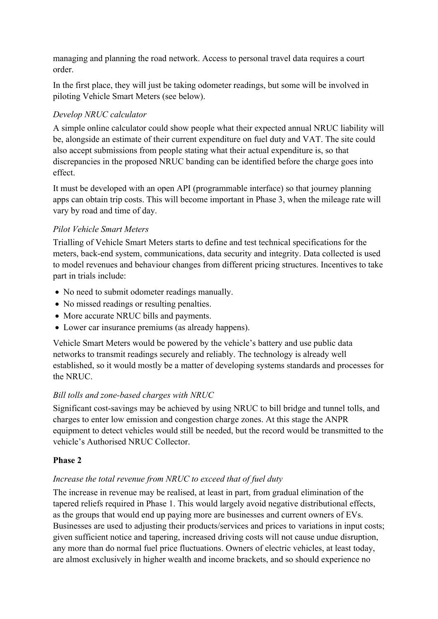managing and planning the road network. Access to personal travel data requires a court order.

In the first place, they will just be taking odometer readings, but some will be involved in piloting Vehicle Smart Meters (see below).

## *Develop NRUC calculator*

A simple online calculator could show people what their expected annual NRUC liability will be, alongside an estimate of their current expenditure on fuel duty and VAT. The site could also accept submissions from people stating what their actual expenditure is, so that discrepancies in the proposed NRUC banding can be identified before the charge goes into effect.

It must be developed with an open API (programmable interface) so that journey planning apps can obtain trip costs. This will become important in Phase 3, when the mileage rate will vary by road and time of day.

## *Pilot Vehicle Smart Meters*

Trialling of Vehicle Smart Meters starts to define and test technical specifications for the meters, back-end system, communications, data security and integrity. Data collected is used to model revenues and behaviour changes from different pricing structures. Incentives to take part in trials include:

- No need to submit odometer readings manually.
- No missed readings or resulting penalties.
- More accurate NRUC bills and payments.
- Lower car insurance premiums (as already happens).

Vehicle Smart Meters would be powered by the vehicle's battery and use public data networks to transmit readings securely and reliably. The technology is already well established, so it would mostly be a matter of developing systems standards and processes for the NRUC.

## *Bill tolls and zone-based charges with NRUC*

Significant cost-savings may be achieved by using NRUC to bill bridge and tunnel tolls, and charges to enter low emission and congestion charge zones. At this stage the ANPR equipment to detect vehicles would still be needed, but the record would be transmitted to the vehicle's Authorised NRUC Collector.

## **Phase 2**

## *Increase the total revenue from NRUC to exceed that of fuel duty*

The increase in revenue may be realised, at least in part, from gradual elimination of the tapered reliefs required in Phase 1. This would largely avoid negative distributional effects, as the groups that would end up paying more are businesses and current owners of EVs. Businesses are used to adjusting their products/services and prices to variations in input costs; given sufficient notice and tapering, increased driving costs will not cause undue disruption, any more than do normal fuel price fluctuations. Owners of electric vehicles, at least today, are almost exclusively in higher wealth and income brackets, and so should experience no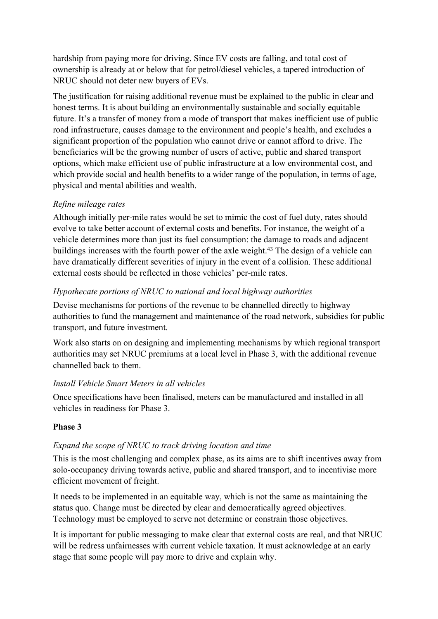hardship from paying more for driving. Since EV costs are falling, and total cost of ownership is already at or below that for petrol/diesel vehicles, a tapered introduction of NRUC should not deter new buyers of EVs.

The justification for raising additional revenue must be explained to the public in clear and honest terms. It is about building an environmentally sustainable and socially equitable future. It's a transfer of money from a mode of transport that makes inefficient use of public road infrastructure, causes damage to the environment and people's health, and excludes a significant proportion of the population who cannot drive or cannot afford to drive. The beneficiaries will be the growing number of users of active, public and shared transport options, which make efficient use of public infrastructure at a low environmental cost, and which provide social and health benefits to a wider range of the population, in terms of age, physical and mental abilities and wealth.

#### *Refine mileage rates*

Although initially per-mile rates would be set to mimic the cost of fuel duty, rates should evolve to take better account of external costs and benefits. For instance, the weight of a vehicle determines more than just its fuel consumption: the damage to roads and adjacent buildings increases with the fourth power of the axle weight.<sup>43</sup> The design of a vehicle can have dramatically different severities of injury in the event of a collision. These additional external costs should be reflected in those vehicles' per-mile rates.

#### *Hypothecate portions of NRUC to national and local highway authorities*

Devise mechanisms for portions of the revenue to be channelled directly to highway authorities to fund the management and maintenance of the road network, subsidies for public transport, and future investment.

Work also starts on on designing and implementing mechanisms by which regional transport authorities may set NRUC premiums at a local level in Phase 3, with the additional revenue channelled back to them.

## *Install Vehicle Smart Meters in all vehicles*

Once specifications have been finalised, meters can be manufactured and installed in all vehicles in readiness for Phase 3.

## **Phase 3**

## *Expand the scope of NRUC to track driving location and time*

This is the most challenging and complex phase, as its aims are to shift incentives away from solo-occupancy driving towards active, public and shared transport, and to incentivise more efficient movement of freight.

It needs to be implemented in an equitable way, which is not the same as maintaining the status quo. Change must be directed by clear and democratically agreed objectives. Technology must be employed to serve not determine or constrain those objectives.

It is important for public messaging to make clear that external costs are real, and that NRUC will be redress unfairnesses with current vehicle taxation. It must acknowledge at an early stage that some people will pay more to drive and explain why.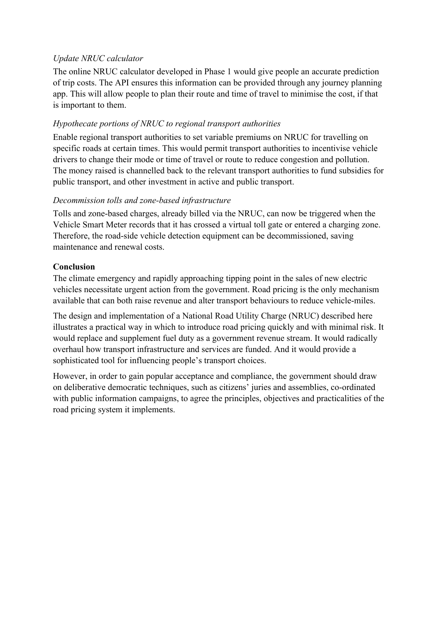## *Update NRUC calculator*

The online NRUC calculator developed in Phase 1 would give people an accurate prediction of trip costs. The API ensures this information can be provided through any journey planning app. This will allow people to plan their route and time of travel to minimise the cost, if that is important to them.

#### *Hypothecate portions of NRUC to regional transport authorities*

Enable regional transport authorities to set variable premiums on NRUC for travelling on specific roads at certain times. This would permit transport authorities to incentivise vehicle drivers to change their mode or time of travel or route to reduce congestion and pollution. The money raised is channelled back to the relevant transport authorities to fund subsidies for public transport, and other investment in active and public transport.

#### *Decommission tolls and zone-based infrastructure*

Tolls and zone-based charges, already billed via the NRUC, can now be triggered when the Vehicle Smart Meter records that it has crossed a virtual toll gate or entered a charging zone. Therefore, the road-side vehicle detection equipment can be decommissioned, saving maintenance and renewal costs.

#### **Conclusion**

The climate emergency and rapidly approaching tipping point in the sales of new electric vehicles necessitate urgent action from the government. Road pricing is the only mechanism available that can both raise revenue and alter transport behaviours to reduce vehicle-miles.

The design and implementation of a National Road Utility Charge (NRUC) described here illustrates a practical way in which to introduce road pricing quickly and with minimal risk. It would replace and supplement fuel duty as a government revenue stream. It would radically overhaul how transport infrastructure and services are funded. And it would provide a sophisticated tool for influencing people's transport choices.

However, in order to gain popular acceptance and compliance, the government should draw on deliberative democratic techniques, such as citizens' juries and assemblies, co-ordinated with public information campaigns, to agree the principles, objectives and practicalities of the road pricing system it implements.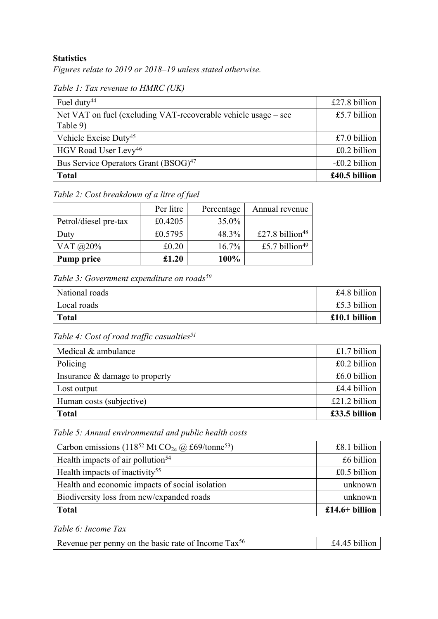#### **Statistics**

*Figures relate to 2019 or 2018–19 unless stated otherwise.*

<span id="page-17-3"></span>

| Table 1: Tax revenue to HMRC (UK) |  |  |  |  |
|-----------------------------------|--|--|--|--|
|-----------------------------------|--|--|--|--|

| Fuel duty <sup>44</sup>                                        | £27.8 billion |
|----------------------------------------------------------------|---------------|
| Net VAT on fuel (excluding VAT-recoverable vehicle usage – see | £5.7 billion  |
| Table 9)                                                       |               |
| Vehicle Excise Duty <sup>45</sup>                              | £7.0 billion  |
| HGV Road User Levy <sup>46</sup>                               | £0.2 billion  |
| Bus Service Operators Grant (BSOG) <sup>47</sup>               | -£0.2 billion |
| <b>Total</b>                                                   | £40.5 billion |

<span id="page-17-0"></span>*Table 2: Cost breakdown of a litre of fuel*

|                       | Per litre | Percentage | Annual revenue              |
|-----------------------|-----------|------------|-----------------------------|
| Petrol/diesel pre-tax | £0.4205   | 35.0%      |                             |
| Duty                  | £0.5795   | 48.3%      | £27.8 billion <sup>48</sup> |
| VAT $@20\%$           | £0.20     | 16.7%      | £5.7 billion <sup>49</sup>  |
| <b>Pump price</b>     | £1.20     | 100%       |                             |

<span id="page-17-4"></span>*Table 3: Government expenditure on roads<sup>50</sup>*

| National roads | £4.8 billion  |
|----------------|---------------|
| Local roads    | £5.3 billion  |
| <b>Total</b>   | £10.1 billion |

<span id="page-17-1"></span>*Table 4: Cost of road traffic casualties<sup>51</sup>*

| Medical & ambulance            | £1.7 billion  |
|--------------------------------|---------------|
| Policing                       | £0.2 billion  |
| Insurance & damage to property | £6.0 billion  |
| Lost output                    | £4.4 billion  |
| Human costs (subjective)       | £21.2 billion |
| <b>Total</b>                   | £33.5 billion |

<span id="page-17-2"></span>*Table 5: Annual environmental and public health costs*

| Carbon emissions (118 <sup>52</sup> Mt CO <sub>2e</sub> @ £69/tonne <sup>53</sup> ) | £8.1 billion   |
|-------------------------------------------------------------------------------------|----------------|
| Health impacts of air pollution <sup>54</sup>                                       | £6 billion     |
| Health impacts of inactivity <sup>55</sup>                                          | $£0.5$ billion |
| Health and economic impacts of social isolation                                     | unknown        |
| Biodiversity loss from new/expanded roads                                           | unknown        |
| <b>Total</b>                                                                        | £14.6+ billion |

<span id="page-17-5"></span>*Table 6: Income Tax*

| Revenue per penny on the basic rate of Income Tax <sup>56</sup> | £4.45 billion |
|-----------------------------------------------------------------|---------------|
|-----------------------------------------------------------------|---------------|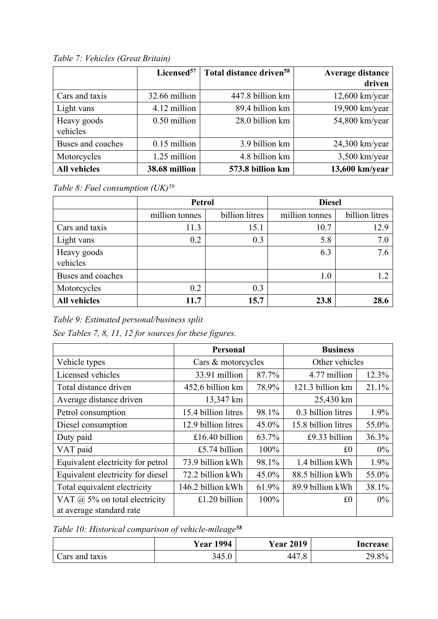<span id="page-18-1"></span>

|                     | Licensed <sup>57</sup> | Total distance driven <sup>58</sup> | Average distance |
|---------------------|------------------------|-------------------------------------|------------------|
|                     |                        |                                     | driven           |
| Cars and taxis      | 32.66 million          | 447.8 billion km                    | $12,600$ km/year |
| Light vans          | 4.12 million           | 89.4 billion km                     | 19,900 km/year   |
| Heavy goods         | 0.50 million           | 28.0 billion km                     | 54,800 km/year   |
| vehicles            |                        |                                     |                  |
| Buses and coaches   | $0.15$ million         | 3.9 billion km                      | $24,300$ km/year |
| Motorcycles         | 1.25 million           | 4.8 billion km                      | $3,500$ km/year  |
| <b>All vehicles</b> | 38.68 million          | 573.8 billion km                    | 13,600 km/year   |

*Table 7: Vehicles (Great Britain)*

<span id="page-18-3"></span>*Table 8: Fuel consumption (UK)<sup>59</sup>*

|                         | <b>Petrol</b>  |                | <b>Diesel</b>  |                |
|-------------------------|----------------|----------------|----------------|----------------|
|                         | million tonnes | billion litres | million tonnes | billion litres |
| Cars and taxis          | 11.3           | 15.1           | 10.7           | 12.9           |
| Light vans              | 0.2            | 0.3            | 5.8            | 7.0            |
| Heavy goods<br>vehicles |                |                | 6.3            | 7.6            |
| Buses and coaches       |                |                | 1.0            | 1.2            |
| Motorcycles             | 0.2            | 0.3            |                |                |
| <b>All vehicles</b>     | 11.7           | 15.7           | 23.8           | 28.6           |

<span id="page-18-0"></span>*Table 9: Estimated personal/business split*

*See Tables 7, 8, 11, 12 for sources for these figures.*

|                                      | <b>Personal</b>       |          | <b>Business</b>     |       |
|--------------------------------------|-----------------------|----------|---------------------|-------|
| Vehicle types                        | Cars & motorcycles    |          | Other vehicles      |       |
| Licensed vehicles                    | 33.91 million         | 87.7%    | 4.77 million        | 12.3% |
| Total distance driven                | 452.6 billion km      | 78.9%    | 121.3 billion km    | 21.1% |
| Average distance driven              | 13,347 km             |          | 25,430 km           |       |
| Petrol consumption                   | 15.4 billion litres   | 98.1%    | 0.3 billion litres  | 1.9%  |
| Diesel consumption                   | 12.9 billion litres   | $45.0\%$ | 15.8 billion litres | 55.0% |
| Duty paid                            | £16.40 billion        | 63.7%    | £9.33 billion       | 36.3% |
| VAT paid                             | £5.74 billion         | 100%     | £0                  | $0\%$ |
| Equivalent electricity for petrol    | 73.9 billion kWh      | 98.1%    | 1.4 billion kWh     | 1.9%  |
| Equivalent electricity for diesel    | 72.2 billion kWh      | $45.0\%$ | 88.5 billion kWh    | 55.0% |
| Total equivalent electricity         | 146.2 billion kWh     | 61.9%    | 89.9 billion kWh    | 38.1% |
| VAT $\omega$ 5% on total electricity | £1.20 billion<br>100% |          | £0                  | $0\%$ |
| at average standard rate             |                       |          |                     |       |

<span id="page-18-2"></span>*Table 10: Historical comparison of vehicle-mileage[58](#page-18-1)*

|                                   | 1994<br>Year | 2019<br>rear             | Increase   |
|-----------------------------------|--------------|--------------------------|------------|
| $\circ$ ars and $\prime$<br>taxis |              | $\varDelta\varDelta\tau$ | ററ<br>2J.0 |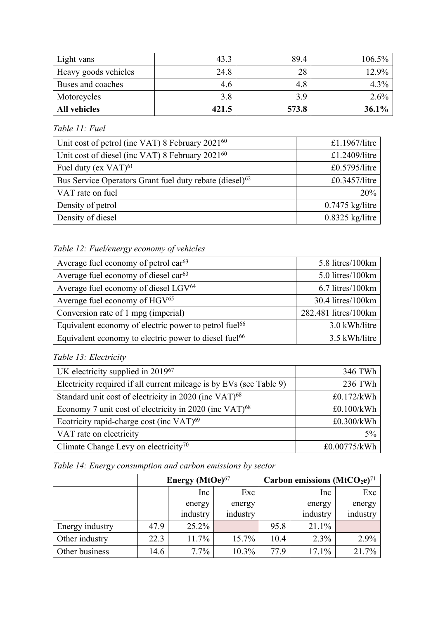| Light vans           | 43.3  | 89.4  | $106.5\%$ |
|----------------------|-------|-------|-----------|
| Heavy goods vehicles | 24.8  | 28    | $12.9\%$  |
| Buses and coaches    | 4.6   | 4.8   | $4.3\%$   |
| Motorcycles          | 3.8   | 39    | $2.6\%$   |
| <b>All vehicles</b>  | 421.5 | 573.8 | $36.1\%$  |

*Table 11: Fuel*

<span id="page-19-0"></span>

| Unit cost of petrol (inc VAT) 8 February 2021 <sup>60</sup>         | £1.1967/litre     |  |  |
|---------------------------------------------------------------------|-------------------|--|--|
| Unit cost of diesel (inc VAT) 8 February 2021 <sup>60</sup>         | £1.2409/litre     |  |  |
| Fuel duty (ex $VAT$ ) <sup>61</sup>                                 | $£0.5795/l$ itre  |  |  |
| Bus Service Operators Grant fuel duty rebate (diesel) <sup>62</sup> | $£0.3457/l$ itre  |  |  |
| VAT rate on fuel                                                    | 20%               |  |  |
| Density of petrol                                                   | $0.7475$ kg/litre |  |  |
| Density of diesel                                                   | $0.8325$ kg/litre |  |  |

# <span id="page-19-6"></span>*Table 12: Fuel/energy economy of vehicles*

<span id="page-19-1"></span>

| Average fuel economy of petrol $\text{car}^{63}$                  | 5.8 litres/100km     |
|-------------------------------------------------------------------|----------------------|
| Average fuel economy of diesel car <sup>63</sup>                  | 5.0 litres/100km     |
| Average fuel economy of diesel LGV <sup>64</sup>                  | 6.7 litres/100km     |
| Average fuel economy of HGV <sup>65</sup>                         | 30.4 litres/100km    |
| Conversion rate of 1 mpg (imperial)                               | 282.481 litres/100km |
| Equivalent economy of electric power to petrol fuel <sup>66</sup> | 3.0 kWh/litre        |
| Equivalent economy to electric power to diesel fuel <sup>66</sup> | 3.5 kWh/litre        |

## <span id="page-19-7"></span><span id="page-19-2"></span>*Table 13: Electricity*

<span id="page-19-4"></span><span id="page-19-3"></span>

| UK electricity supplied in $2019^{67}$                              | 346 TWh      |  |  |
|---------------------------------------------------------------------|--------------|--|--|
| Electricity required if all current mileage is by EVs (see Table 9) | 236 TWh      |  |  |
| Standard unit cost of electricity in 2020 (inc VAT) <sup>68</sup>   | £0.172/kWh   |  |  |
| Economy 7 unit cost of electricity in 2020 (inc VAT) <sup>68</sup>  | £0.100/kWh   |  |  |
| Ecotricity rapid-charge cost (inc VAT) <sup>69</sup>                | £0.300/kWh   |  |  |
| VAT rate on electricity                                             | $5\%$        |  |  |
| Climate Change Levy on electricity <sup>70</sup>                    | £0.00775/kWh |  |  |

<span id="page-19-5"></span>

|  | Table 14: Energy consumption and carbon emissions by sector |  |  |  |
|--|-------------------------------------------------------------|--|--|--|
|  |                                                             |  |  |  |

|                 | Energy $(MtOe)^{67}$ |          |          | Carbon emissions $(MtCO2e)^{71}$ |          |          |  |
|-----------------|----------------------|----------|----------|----------------------------------|----------|----------|--|
|                 |                      | Inc      | Exc      |                                  | Inc      | Exc      |  |
|                 |                      | energy   | energy   |                                  | energy   | energy   |  |
|                 |                      | industry | industry |                                  | industry | industry |  |
| Energy industry | 47.9                 | 25.2%    |          | 95.8                             | 21.1%    |          |  |
| Other industry  | 22.3                 | 11.7%    | $15.7\%$ | 10.4                             | $2.3\%$  | 2.9%     |  |
| Other business  | 14.6                 | $7.7\%$  | $10.3\%$ | 77.9                             | 17.1%    | 21.7%    |  |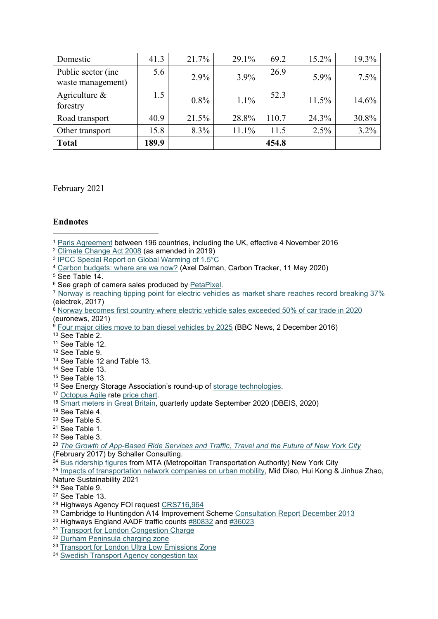| Domestic                                 | 41.3  | 21.7%   | 29.1% | 69.2  | 15.2% | 19.3%   |
|------------------------------------------|-------|---------|-------|-------|-------|---------|
| Public sector (inc.<br>waste management) | 5.6   | 2.9%    | 3.9%  | 26.9  | 5.9%  | $7.5\%$ |
| Agriculture $\&$<br>forestry             | 1.5   | 0.8%    | 1.1%  | 52.3  | 11.5% | 14.6%   |
| Road transport                           | 40.9  | 21.5%   | 28.8% | 110.7 | 24.3% | 30.8%   |
| Other transport                          | 15.8  | $8.3\%$ | 11.1% | 11.5  | 2.5%  | 3.2%    |
| <b>Total</b>                             | 189.9 |         |       | 454.8 |       |         |

February 2021

#### **Endnotes**

<sup>5</sup> See [Table](#page-19-5) [14.](#page-19-5)

- <sup>13</sup> See [Table](#page-19-6) [12](#page-19-6) and [Table](#page-19-7) [13.](#page-19-7)
- <sup>14</sup> See [Table](#page-19-7) [13](#page-19-7).
- <sup>15</sup> See [Table](#page-19-7) [13](#page-19-7).
- <sup>16</sup> See Energy Storage Association's round-up of [storage](http://energystorage.org/energy-storage/energy-storage-technologies) [technologies](http://energystorage.org/energy-storage/energy-storage-technologies).
- <sup>17</sup> [Octopus](https://octopus.energy/agile/) [Agile](https://octopus.energy/agile/) rate [price](https://agileprices.co.uk/) [chart.](https://agileprices.co.uk/)
- <sup>18</sup> [Smart](https://www.gov.uk/government/statistics/smart-meters-in-great-britain-quarterly-update-september-2020) [meters](https://www.gov.uk/government/statistics/smart-meters-in-great-britain-quarterly-update-september-2020) [in](https://www.gov.uk/government/statistics/smart-meters-in-great-britain-quarterly-update-september-2020) [Great](https://www.gov.uk/government/statistics/smart-meters-in-great-britain-quarterly-update-september-2020) [Britain](https://www.gov.uk/government/statistics/smart-meters-in-great-britain-quarterly-update-september-2020), quarterly update September 2020 (DBEIS, 2020)
- <sup>19</sup> See [Table](#page-17-1) [4.](#page-17-1)
- <sup>20</sup> See [Table](#page-17-2) [5.](#page-17-2)
- <sup>21</sup> See [Table](#page-17-3) [1.](#page-17-3)
- <sup>22</sup> See [Table](#page-17-4) [3.](#page-17-4)
- <sup>23</sup> *[The](http://schallerconsult.com/rideservices/unsustainable.pdf) [Growth](http://schallerconsult.com/rideservices/unsustainable.pdf) [of](http://schallerconsult.com/rideservices/unsustainable.pdf) [App-Based](http://schallerconsult.com/rideservices/unsustainable.pdf) [Ride](http://schallerconsult.com/rideservices/unsustainable.pdf) [Services](http://schallerconsult.com/rideservices/unsustainable.pdf) [and](http://schallerconsult.com/rideservices/unsustainable.pdf) [Traffic,](http://schallerconsult.com/rideservices/unsustainable.pdf) [Travel](http://schallerconsult.com/rideservices/unsustainable.pdf) [and](http://schallerconsult.com/rideservices/unsustainable.pdf) [the](http://schallerconsult.com/rideservices/unsustainable.pdf) [Future](http://schallerconsult.com/rideservices/unsustainable.pdf) [of](http://schallerconsult.com/rideservices/unsustainable.pdf) [New](http://schallerconsult.com/rideservices/unsustainable.pdf) [York](http://schallerconsult.com/rideservices/unsustainable.pdf) [City](http://schallerconsult.com/rideservices/unsustainable.pdf)*
- (February 2017) by Schaller Consulting.
- <sup>24</sup> [Bus](http://web.mta.info/nyct/facts/ridership/) [ridership](http://web.mta.info/nyct/facts/ridership/) [figures](http://web.mta.info/nyct/facts/ridership/) from MTA (Metropolitan Transportation Authority) New York City
- <sup>25</sup> [Impacts](https://www.nature.com/articles/s41893-020-00678-z) [of](https://www.nature.com/articles/s41893-020-00678-z) [transportation](https://www.nature.com/articles/s41893-020-00678-z) [network](https://www.nature.com/articles/s41893-020-00678-z) [companies](https://www.nature.com/articles/s41893-020-00678-z) [on](https://www.nature.com/articles/s41893-020-00678-z) [urban](https://www.nature.com/articles/s41893-020-00678-z) [mobility,](https://www.nature.com/articles/s41893-020-00678-z) Mid Diao, Hui Kong & Jinhua Zhao, Nature Sustainability 2021

<sup>26</sup> See [Table](#page-18-0) [9.](#page-18-0)

- <sup>27</sup> See [Table](#page-19-7) [13](#page-19-7).
- <sup>28</sup> Highways Agency FOI request [CRS716,964](https://www.gov.uk/government/uploads/system/uploads/attachment_data/file/421867/CRS_716_964_Redacted.pdf)
- <sup>29</sup> Cambridge to Huntingdon A14 Improvement Scheme [Consultation](https://www.gov.uk/government/uploads/system/uploads/attachment_data/file/273886/A14_Cambridge_to_Huntingdon_Consultation_Report_January_2014_-_Exec_Summary.pdf) [Report](https://www.gov.uk/government/uploads/system/uploads/attachment_data/file/273886/A14_Cambridge_to_Huntingdon_Consultation_Report_January_2014_-_Exec_Summary.pdf) [December](https://www.gov.uk/government/uploads/system/uploads/attachment_data/file/273886/A14_Cambridge_to_Huntingdon_Consultation_Report_January_2014_-_Exec_Summary.pdf) [2013](https://www.gov.uk/government/uploads/system/uploads/attachment_data/file/273886/A14_Cambridge_to_Huntingdon_Consultation_Report_January_2014_-_Exec_Summary.pdf)
- <sup>30</sup> Highways England AADF traffic counts [#80832](http://www.dft.gov.uk/traffic-counts/cp.php?la=Birmingham#80832) and [#36023](http://www.dft.gov.uk/traffic-counts/cp.php?la=Birmingham#36023)
- <sup>31</sup> [Transport](https://tfl.gov.uk/modes/driving/congestion-charge) [for](https://tfl.gov.uk/modes/driving/congestion-charge) [London](https://tfl.gov.uk/modes/driving/congestion-charge) [Congestion](https://tfl.gov.uk/modes/driving/congestion-charge) [Charge](https://tfl.gov.uk/modes/driving/congestion-charge)
- <sup>32</sup> [Durham](http://www.durham.gov.uk/article/3437/Durham-Road-User-Charge-Zone-congestion-charge) [Peninsula](http://www.durham.gov.uk/article/3437/Durham-Road-User-Charge-Zone-congestion-charge) [charging](http://www.durham.gov.uk/article/3437/Durham-Road-User-Charge-Zone-congestion-charge) [zone](http://www.durham.gov.uk/article/3437/Durham-Road-User-Charge-Zone-congestion-charge)
- <sup>33</sup> [Transport](https://tfl.gov.uk/modes/driving/ultra-low-emission-zone/ulez-where-and-when) [for](https://tfl.gov.uk/modes/driving/ultra-low-emission-zone/ulez-where-and-when) [London](https://tfl.gov.uk/modes/driving/ultra-low-emission-zone/ulez-where-and-when) [Ultra](https://tfl.gov.uk/modes/driving/ultra-low-emission-zone/ulez-where-and-when) [Low](https://tfl.gov.uk/modes/driving/ultra-low-emission-zone/ulez-where-and-when) [Emissions](https://tfl.gov.uk/modes/driving/ultra-low-emission-zone/ulez-where-and-when) [Zone](https://tfl.gov.uk/modes/driving/ultra-low-emission-zone/ulez-where-and-when)
- <sup>34</sup> [Swedish](https://www.transportstyrelsen.se/en/road/road-tolls/Congestion-taxes-in-Stockholm-and-Goteborg/congestion-tax-in-stockholm/hours-and-amounts-in-stockholm/) [Transport](https://www.transportstyrelsen.se/en/road/road-tolls/Congestion-taxes-in-Stockholm-and-Goteborg/congestion-tax-in-stockholm/hours-and-amounts-in-stockholm/) [Agency](https://www.transportstyrelsen.se/en/road/road-tolls/Congestion-taxes-in-Stockholm-and-Goteborg/congestion-tax-in-stockholm/hours-and-amounts-in-stockholm/) [congestion](https://www.transportstyrelsen.se/en/road/road-tolls/Congestion-taxes-in-Stockholm-and-Goteborg/congestion-tax-in-stockholm/hours-and-amounts-in-stockholm/) [tax](https://www.transportstyrelsen.se/en/road/road-tolls/Congestion-taxes-in-Stockholm-and-Goteborg/congestion-tax-in-stockholm/hours-and-amounts-in-stockholm/)

<sup>1</sup> [Paris](https://unfccc.int/process-and-meetings/the-paris-agreement/the-paris-agreement) [Agreement](https://unfccc.int/process-and-meetings/the-paris-agreement/the-paris-agreement) between 196 countries, including the UK, effective 4 November 2016

<sup>2</sup> [Climate](https://www.legislation.gov.uk/ukpga/2008/27/contents) [Change](https://www.legislation.gov.uk/ukpga/2008/27/contents) [Act](https://www.legislation.gov.uk/ukpga/2008/27/contents) [2008](https://www.legislation.gov.uk/ukpga/2008/27/contents) (as amended in 2019)

<sup>&</sup>lt;sup>3</sup> [IPCC](https://www.ipcc.ch/2018/10/08/summary-for-policymakers-of-ipcc-special-report-on-global-warming-of-1-5c-approved-by-governments/) [Special](https://www.ipcc.ch/2018/10/08/summary-for-policymakers-of-ipcc-special-report-on-global-warming-of-1-5c-approved-by-governments/) [Report](https://www.ipcc.ch/2018/10/08/summary-for-policymakers-of-ipcc-special-report-on-global-warming-of-1-5c-approved-by-governments/) [on](https://www.ipcc.ch/2018/10/08/summary-for-policymakers-of-ipcc-special-report-on-global-warming-of-1-5c-approved-by-governments/) [Global](https://www.ipcc.ch/2018/10/08/summary-for-policymakers-of-ipcc-special-report-on-global-warming-of-1-5c-approved-by-governments/) [Warming](https://www.ipcc.ch/2018/10/08/summary-for-policymakers-of-ipcc-special-report-on-global-warming-of-1-5c-approved-by-governments/) [of](https://www.ipcc.ch/2018/10/08/summary-for-policymakers-of-ipcc-special-report-on-global-warming-of-1-5c-approved-by-governments/) [1.5°C](https://www.ipcc.ch/2018/10/08/summary-for-policymakers-of-ipcc-special-report-on-global-warming-of-1-5c-approved-by-governments/)

<sup>4</sup> [Carbon](https://carbontracker.org/carbon-budgets-where-are-we-now/) [budgets:](https://carbontracker.org/carbon-budgets-where-are-we-now/) [where](https://carbontracker.org/carbon-budgets-where-are-we-now/) [are](https://carbontracker.org/carbon-budgets-where-are-we-now/) [we](https://carbontracker.org/carbon-budgets-where-are-we-now/) [now?](https://carbontracker.org/carbon-budgets-where-are-we-now/) (Axel Dalman, Carbon Tracker, 11 May 2020)

<sup>&</sup>lt;sup>6</sup> See gr[ap](https://electrek.co/2017/02/15/norway-electric-vehicle-market-share-record/)h of came[ra](https://electrek.co/2017/02/15/norway-electric-vehicle-market-share-record/) sales [p](https://electrek.co/2017/02/15/norway-electric-vehicle-market-share-record/)rod[u](https://electrek.co/2017/02/15/norway-electric-vehicle-market-share-record/)ce[d](https://electrek.co/2017/02/15/norway-electric-vehicle-market-share-record/) by [PetaPixel.](https://petapixel.com/2015/04/09/this-is-what-the-history-of-camera-sales-looks-like-with-smartphones-included/)

<sup>7</sup> [Norway](https://electrek.co/2017/02/15/norway-electric-vehicle-market-share-record/) [is](https://electrek.co/2017/02/15/norway-electric-vehicle-market-share-record/) [reaching](https://electrek.co/2017/02/15/norway-electric-vehicle-market-share-record/) [tipping](https://electrek.co/2017/02/15/norway-electric-vehicle-market-share-record/) [point](https://electrek.co/2017/02/15/norway-electric-vehicle-market-share-record/) [for](https://electrek.co/2017/02/15/norway-electric-vehicle-market-share-record/) [electric](https://electrek.co/2017/02/15/norway-electric-vehicle-market-share-record/) [vehicles](https://electrek.co/2017/02/15/norway-electric-vehicle-market-share-record/) [as](https://electrek.co/2017/02/15/norway-electric-vehicle-market-share-record/) [market](https://electrek.co/2017/02/15/norway-electric-vehicle-market-share-record/) [share](https://electrek.co/2017/02/15/norway-electric-vehicle-market-share-record/) [reaches](https://electrek.co/2017/02/15/norway-electric-vehicle-market-share-record/) [record](https://electrek.co/2017/02/15/norway-electric-vehicle-market-share-record/) [breaking](https://electrek.co/2017/02/15/norway-electric-vehicle-market-share-record/) [37%](https://electrek.co/2017/02/15/norway-electric-vehicle-market-share-record/) (electrek, 2017)

<sup>8</sup> [Norway](https://www.euronews.com/2021/01/05/norway-becomes-first-country-where-electric-vehicle-sales-exceeded-50-of-car-trade-in-2020) [becomes](https://www.euronews.com/2021/01/05/norway-becomes-first-country-where-electric-vehicle-sales-exceeded-50-of-car-trade-in-2020) [first](https://www.euronews.com/2021/01/05/norway-becomes-first-country-where-electric-vehicle-sales-exceeded-50-of-car-trade-in-2020) [country](https://www.euronews.com/2021/01/05/norway-becomes-first-country-where-electric-vehicle-sales-exceeded-50-of-car-trade-in-2020) [where](https://www.euronews.com/2021/01/05/norway-becomes-first-country-where-electric-vehicle-sales-exceeded-50-of-car-trade-in-2020) [electric](https://www.euronews.com/2021/01/05/norway-becomes-first-country-where-electric-vehicle-sales-exceeded-50-of-car-trade-in-2020) [vehicle](https://www.euronews.com/2021/01/05/norway-becomes-first-country-where-electric-vehicle-sales-exceeded-50-of-car-trade-in-2020) [sales](https://www.euronews.com/2021/01/05/norway-becomes-first-country-where-electric-vehicle-sales-exceeded-50-of-car-trade-in-2020) [exceeded](https://www.euronews.com/2021/01/05/norway-becomes-first-country-where-electric-vehicle-sales-exceeded-50-of-car-trade-in-2020) [50%](https://www.euronews.com/2021/01/05/norway-becomes-first-country-where-electric-vehicle-sales-exceeded-50-of-car-trade-in-2020) [of](https://www.euronews.com/2021/01/05/norway-becomes-first-country-where-electric-vehicle-sales-exceeded-50-of-car-trade-in-2020) [car](https://www.euronews.com/2021/01/05/norway-becomes-first-country-where-electric-vehicle-sales-exceeded-50-of-car-trade-in-2020) [trade](https://www.euronews.com/2021/01/05/norway-becomes-first-country-where-electric-vehicle-sales-exceeded-50-of-car-trade-in-2020) [in](https://www.euronews.com/2021/01/05/norway-becomes-first-country-where-electric-vehicle-sales-exceeded-50-of-car-trade-in-2020) [2020](https://www.euronews.com/2021/01/05/norway-becomes-first-country-where-electric-vehicle-sales-exceeded-50-of-car-trade-in-2020) (euronews, 2021)

<sup>&</sup>lt;sup>9</sup> [Four](https://www.bbc.co.uk/news/science-environment-38170794) [major](https://www.bbc.co.uk/news/science-environment-38170794) [cities](https://www.bbc.co.uk/news/science-environment-38170794) [move](https://www.bbc.co.uk/news/science-environment-38170794) [to](https://www.bbc.co.uk/news/science-environment-38170794) [ban](https://www.bbc.co.uk/news/science-environment-38170794) [diesel](https://www.bbc.co.uk/news/science-environment-38170794) [vehicles](https://www.bbc.co.uk/news/science-environment-38170794) [by](https://www.bbc.co.uk/news/science-environment-38170794) [2025](https://www.bbc.co.uk/news/science-environment-38170794) (BBC News, 2 December 2016)

 $10$  See [Table](#page-17-0) [2.](#page-17-0)

<sup>11</sup> See [Table](#page-19-6) [12](#page-19-6).

<sup>12</sup> See [Table](#page-18-0) [9.](#page-18-0)